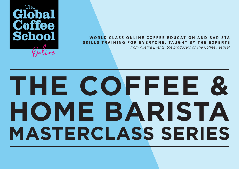

#### **WORLD CLASS ONLINE COFFEE EDUCATION AND BARISTA SKILLS TRAINING FOR EVERYONE, TAUGHT BY THE EXPERTS**

*from Allegra Events, the producers of The Coffee Festival*

# **MASTERCLASS SERIES THE COFFEE & HOME BARISTA**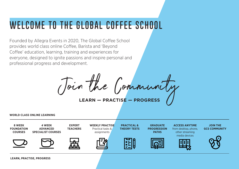## **WELCOME TO THE GLOBAL COFFEE SCHOOL**

Founded by Allegra Events in 2020, The Global Coffee School provides world class online Coffee, Barista and 'Beyond Coffee' education, learning, training and experiences for everyone, designed to ignite passions and inspire personal and professional progress and development.

**LEARN — PRACTISE — PROGRESS** Join the Community

**WORLD CLASS ONLINE LEARNING**



**LEARN, PRACTISE, PROGRESS**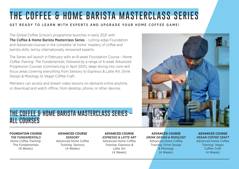# **THE COFFEE & HOME BARISTA MASTERCLASS SERIES**

#### GET READY TO LEARN WITH EXPERTS AND UPGRADE YOUR HOME COFFEE GAME!

The Global Coffee School's programme launches in early 2021 with The Coffee & Home Barista Masterclass Series - cutting-edge Foundation and Advanced courses in the complete 'at home' mastery of coffee and barista skills, led by internationally renowned experts.

The Series will launch in February with an 8-week Foundation Course - *Home Coffee Training: The Fundamentals*, followed by a range of 4-week Advanced Progression Courses (commencing in April 2021), deep-diving into core-skill focus areas covering everything from Sensory to Espresso & Latte Art, Drink Design & Mixology to Vegan Coffee Craft.

Members can access and stream video lessons on-demand online anytime, or download and watch offline, from desktop, phone, or other devices.

### **THE COFFEE & HOME BARISTA MASTERCLASS SERIES – ALL COURSES**

#### **FOUNDATION COURSE**

*THE FUNDAMENTALS* Home Coffee Training: The Fundamentals (8 Weeks)

**ADVANCED COURSE**  *SENSORY*  Advanced Home Coffee Training: Sensory (4 Weeks)

**ADVANCED COURSE**  *ESPRESSO & LATTE ART*  Advanced Home Coffee Training: Espresso & Latte Art (4 Weeks)



**ADVANCED COURSE** *VEGAN COFFEE CRAFT* Advanced Home Coffee Training: Vegan Coffee Craft (4 Weeks)